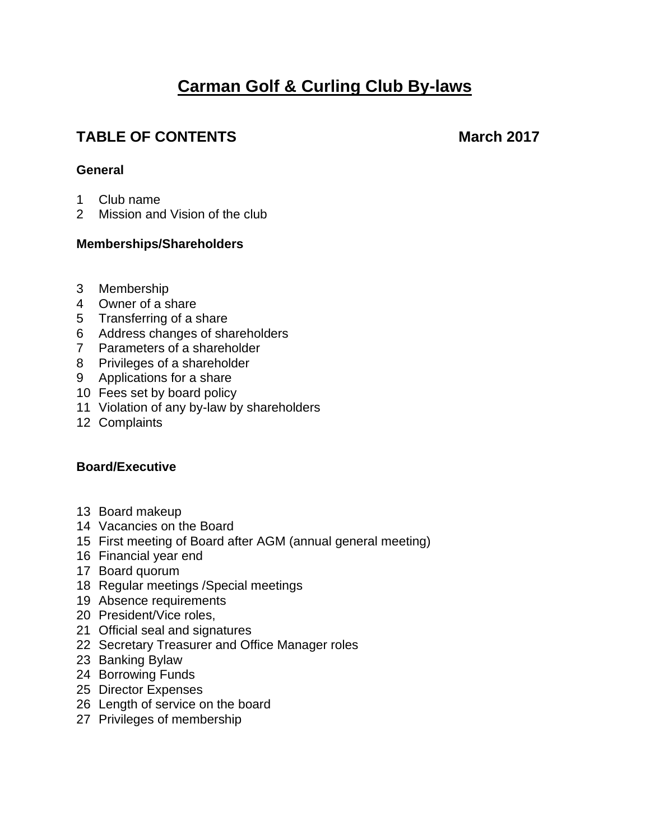# **Carman Golf & Curling Club By-laws**

# **TABLE OF CONTENTS March** 2017

# **General**

- Club name
- Mission and Vision of the club

# **Memberships/Shareholders**

- Membership
- Owner of a share
- Transferring of a share
- Address changes of shareholders
- Parameters of a shareholder
- Privileges of a shareholder
- Applications for a share
- Fees set by board policy
- Violation of any by-law by shareholders
- Complaints

# **Board/Executive**

- Board makeup
- Vacancies on the Board
- First meeting of Board after AGM (annual general meeting)
- Financial year end
- Board quorum
- Regular meetings /Special meetings
- Absence requirements
- President/Vice roles,
- Official seal and signatures
- Secretary Treasurer and Office Manager roles
- Banking Bylaw
- Borrowing Funds
- Director Expenses
- Length of service on the board
- Privileges of membership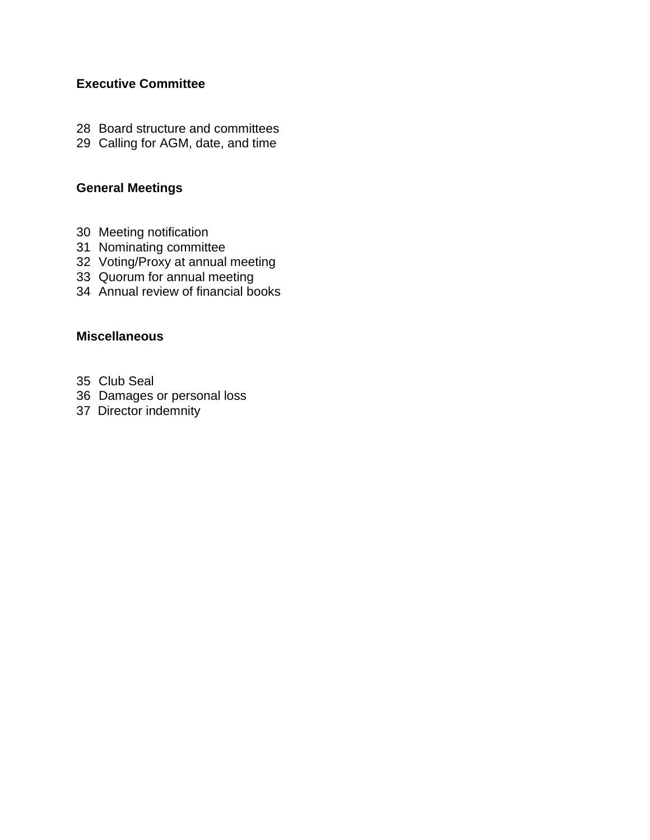# **Executive Committee**

- Board structure and committees
- Calling for AGM, date, and time

# **General Meetings**

- Meeting notification
- Nominating committee
- Voting/Proxy at annual meeting
- Quorum for annual meeting
- Annual review of financial books

# **Miscellaneous**

- Club Seal
- Damages or personal loss
- 37 Director indemnity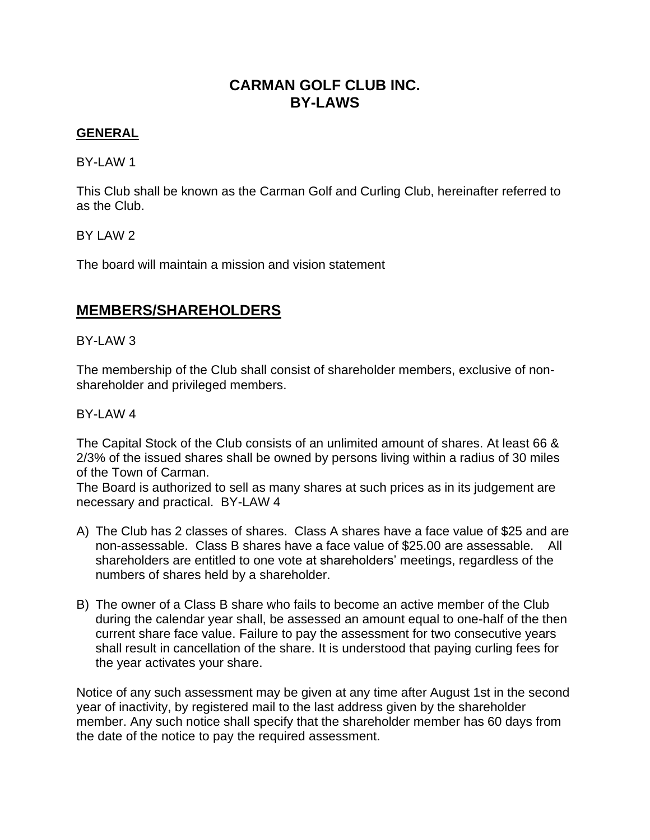# **CARMAN GOLF CLUB INC. BY-LAWS**

# **GENERAL**

BY-LAW 1

This Club shall be known as the Carman Golf and Curling Club, hereinafter referred to as the Club.

BY LAW 2

The board will maintain a mission and vision statement

# **MEMBERS/SHAREHOLDERS**

# BY-LAW 3

The membership of the Club shall consist of shareholder members, exclusive of nonshareholder and privileged members.

# BY-LAW 4

The Capital Stock of the Club consists of an unlimited amount of shares. At least 66 & 2/3% of the issued shares shall be owned by persons living within a radius of 30 miles of the Town of Carman.

The Board is authorized to sell as many shares at such prices as in its judgement are necessary and practical. BY-LAW 4

- A) The Club has 2 classes of shares. Class A shares have a face value of \$25 and are non-assessable. Class B shares have a face value of \$25.00 are assessable. All shareholders are entitled to one vote at shareholders' meetings, regardless of the numbers of shares held by a shareholder.
- B) The owner of a Class B share who fails to become an active member of the Club during the calendar year shall, be assessed an amount equal to one-half of the then current share face value. Failure to pay the assessment for two consecutive years shall result in cancellation of the share. It is understood that paying curling fees for the year activates your share.

Notice of any such assessment may be given at any time after August 1st in the second year of inactivity, by registered mail to the last address given by the shareholder member. Any such notice shall specify that the shareholder member has 60 days from the date of the notice to pay the required assessment.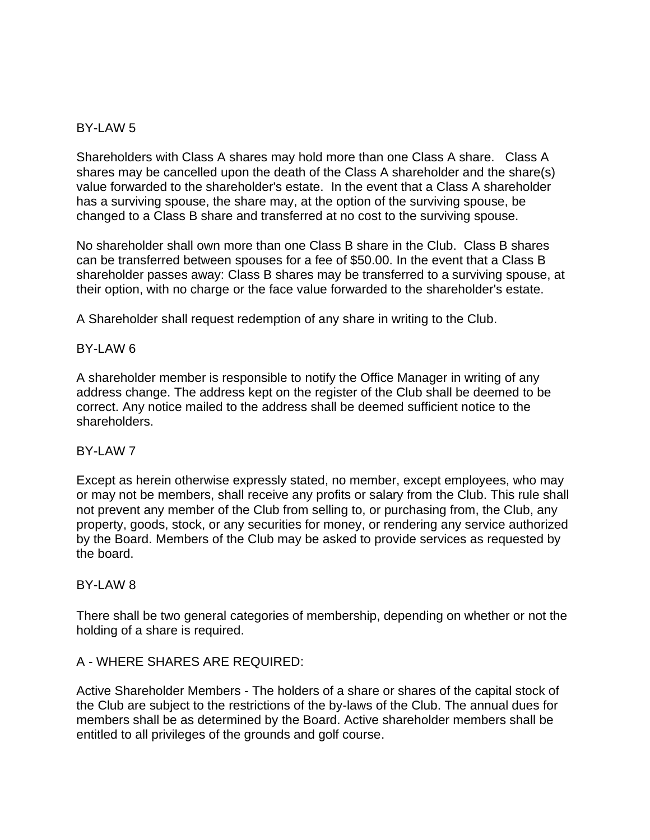# BY-LAW 5

Shareholders with Class A shares may hold more than one Class A share. Class A shares may be cancelled upon the death of the Class A shareholder and the share(s) value forwarded to the shareholder's estate. In the event that a Class A shareholder has a surviving spouse, the share may, at the option of the surviving spouse, be changed to a Class B share and transferred at no cost to the surviving spouse.

No shareholder shall own more than one Class B share in the Club. Class B shares can be transferred between spouses for a fee of \$50.00. In the event that a Class B shareholder passes away: Class B shares may be transferred to a surviving spouse, at their option, with no charge or the face value forwarded to the shareholder's estate.

A Shareholder shall request redemption of any share in writing to the Club.

#### BY-LAW 6

A shareholder member is responsible to notify the Office Manager in writing of any address change. The address kept on the register of the Club shall be deemed to be correct. Any notice mailed to the address shall be deemed sufficient notice to the shareholders.

# BY-LAW 7

Except as herein otherwise expressly stated, no member, except employees, who may or may not be members, shall receive any profits or salary from the Club. This rule shall not prevent any member of the Club from selling to, or purchasing from, the Club, any property, goods, stock, or any securities for money, or rendering any service authorized by the Board. Members of the Club may be asked to provide services as requested by the board.

#### BY-LAW 8

There shall be two general categories of membership, depending on whether or not the holding of a share is required.

#### A - WHERE SHARES ARE REQUIRED:

Active Shareholder Members - The holders of a share or shares of the capital stock of the Club are subject to the restrictions of the by-laws of the Club. The annual dues for members shall be as determined by the Board. Active shareholder members shall be entitled to all privileges of the grounds and golf course.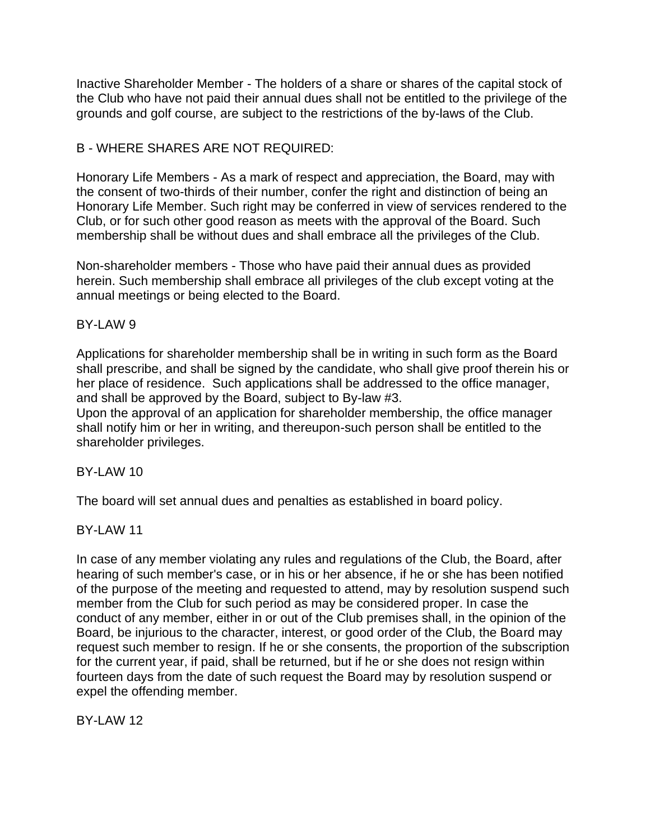Inactive Shareholder Member - The holders of a share or shares of the capital stock of the Club who have not paid their annual dues shall not be entitled to the privilege of the grounds and golf course, are subject to the restrictions of the by-laws of the Club.

# B - WHERE SHARES ARE NOT REQUIRED:

Honorary Life Members - As a mark of respect and appreciation, the Board, may with the consent of two-thirds of their number, confer the right and distinction of being an Honorary Life Member. Such right may be conferred in view of services rendered to the Club, or for such other good reason as meets with the approval of the Board. Such membership shall be without dues and shall embrace all the privileges of the Club.

Non-shareholder members - Those who have paid their annual dues as provided herein. Such membership shall embrace all privileges of the club except voting at the annual meetings or being elected to the Board.

# BY-LAW 9

Applications for shareholder membership shall be in writing in such form as the Board shall prescribe, and shall be signed by the candidate, who shall give proof therein his or her place of residence. Such applications shall be addressed to the office manager, and shall be approved by the Board, subject to By-law #3.

Upon the approval of an application for shareholder membership, the office manager shall notify him or her in writing, and thereupon-such person shall be entitled to the shareholder privileges.

# $BY-I$  AW 10

The board will set annual dues and penalties as established in board policy.

BY-LAW 11

In case of any member violating any rules and regulations of the Club, the Board, after hearing of such member's case, or in his or her absence, if he or she has been notified of the purpose of the meeting and requested to attend, may by resolution suspend such member from the Club for such period as may be considered proper. In case the conduct of any member, either in or out of the Club premises shall, in the opinion of the Board, be injurious to the character, interest, or good order of the Club, the Board may request such member to resign. If he or she consents, the proportion of the subscription for the current year, if paid, shall be returned, but if he or she does not resign within fourteen days from the date of such request the Board may by resolution suspend or expel the offending member.

BY-LAW 12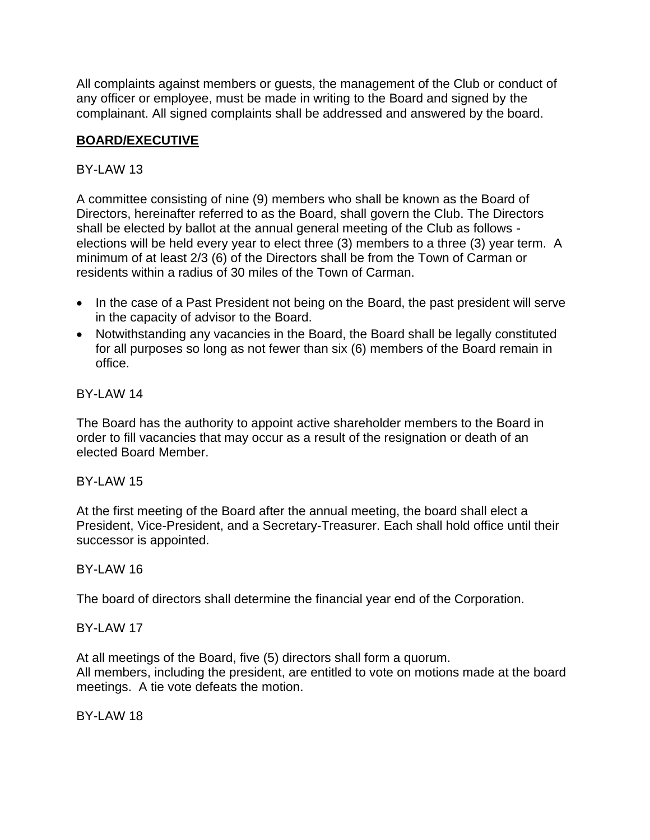All complaints against members or guests, the management of the Club or conduct of any officer or employee, must be made in writing to the Board and signed by the complainant. All signed complaints shall be addressed and answered by the board.

# **BOARD/EXECUTIVE**

# BY-LAW 13

A committee consisting of nine (9) members who shall be known as the Board of Directors, hereinafter referred to as the Board, shall govern the Club. The Directors shall be elected by ballot at the annual general meeting of the Club as follows elections will be held every year to elect three (3) members to a three (3) year term. A minimum of at least 2/3 (6) of the Directors shall be from the Town of Carman or residents within a radius of 30 miles of the Town of Carman.

- In the case of a Past President not being on the Board, the past president will serve in the capacity of advisor to the Board.
- Notwithstanding any vacancies in the Board, the Board shall be legally constituted for all purposes so long as not fewer than six (6) members of the Board remain in office.

# BY-LAW 14

The Board has the authority to appoint active shareholder members to the Board in order to fill vacancies that may occur as a result of the resignation or death of an elected Board Member.

# BY-LAW 15

At the first meeting of the Board after the annual meeting, the board shall elect a President, Vice-President, and a Secretary-Treasurer. Each shall hold office until their successor is appointed.

# $RY-I$  AW 16

The board of directors shall determine the financial year end of the Corporation.

# BY-LAW 17

At all meetings of the Board, five (5) directors shall form a quorum. All members, including the president, are entitled to vote on motions made at the board meetings. A tie vote defeats the motion.

BY-LAW 18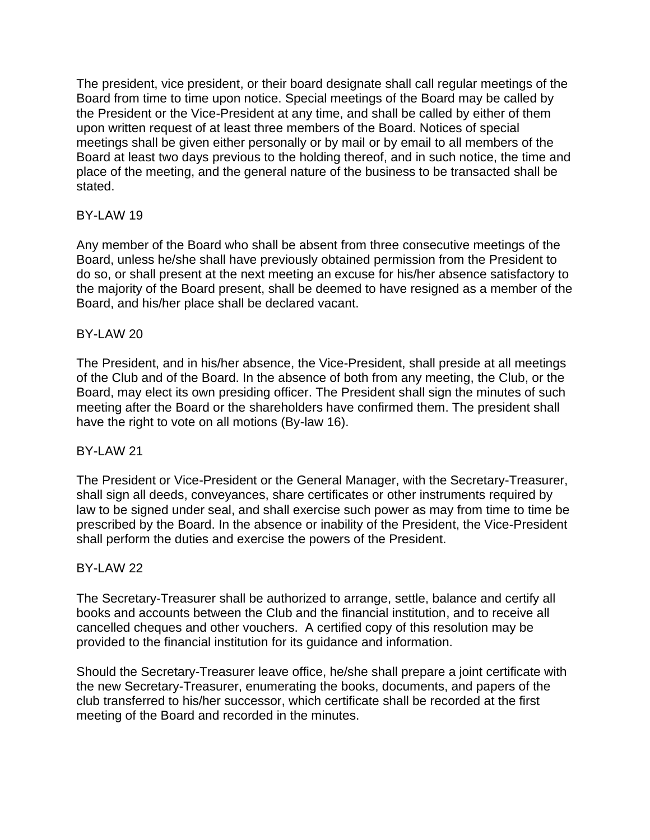The president, vice president, or their board designate shall call regular meetings of the Board from time to time upon notice. Special meetings of the Board may be called by the President or the Vice-President at any time, and shall be called by either of them upon written request of at least three members of the Board. Notices of special meetings shall be given either personally or by mail or by email to all members of the Board at least two days previous to the holding thereof, and in such notice, the time and place of the meeting, and the general nature of the business to be transacted shall be stated.

# BY-LAW 19

Any member of the Board who shall be absent from three consecutive meetings of the Board, unless he/she shall have previously obtained permission from the President to do so, or shall present at the next meeting an excuse for his/her absence satisfactory to the majority of the Board present, shall be deemed to have resigned as a member of the Board, and his/her place shall be declared vacant.

# BY-LAW 20

The President, and in his/her absence, the Vice-President, shall preside at all meetings of the Club and of the Board. In the absence of both from any meeting, the Club, or the Board, may elect its own presiding officer. The President shall sign the minutes of such meeting after the Board or the shareholders have confirmed them. The president shall have the right to vote on all motions (By-law 16).

# BY-LAW 21

The President or Vice-President or the General Manager, with the Secretary-Treasurer, shall sign all deeds, conveyances, share certificates or other instruments required by law to be signed under seal, and shall exercise such power as may from time to time be prescribed by the Board. In the absence or inability of the President, the Vice-President shall perform the duties and exercise the powers of the President.

# BY-LAW 22

The Secretary-Treasurer shall be authorized to arrange, settle, balance and certify all books and accounts between the Club and the financial institution, and to receive all cancelled cheques and other vouchers. A certified copy of this resolution may be provided to the financial institution for its guidance and information.

Should the Secretary-Treasurer leave office, he/she shall prepare a joint certificate with the new Secretary-Treasurer, enumerating the books, documents, and papers of the club transferred to his/her successor, which certificate shall be recorded at the first meeting of the Board and recorded in the minutes.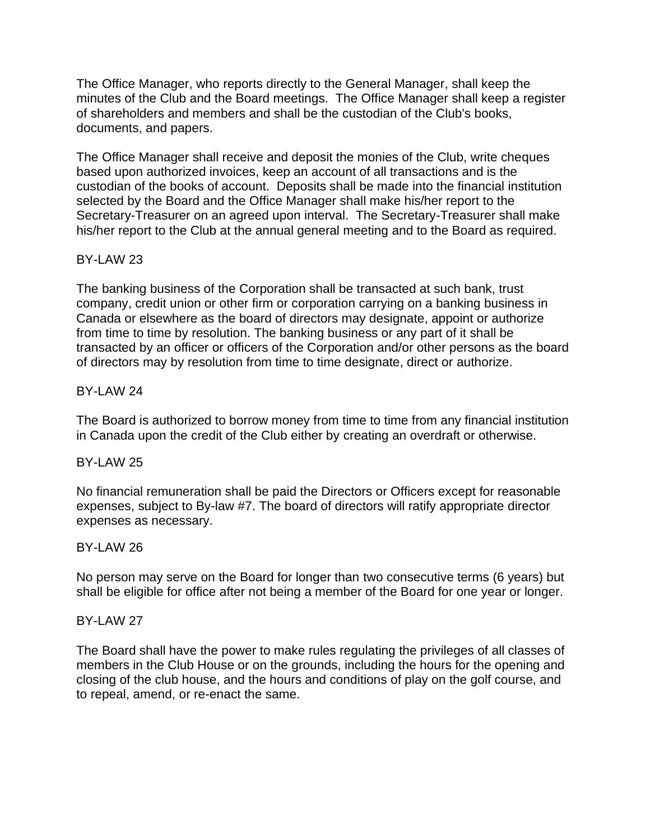The Office Manager, who reports directly to the General Manager, shall keep the minutes of the Club and the Board meetings. The Office Manager shall keep a register of shareholders and members and shall be the custodian of the Club's books, documents, and papers.

The Office Manager shall receive and deposit the monies of the Club, write cheques based upon authorized invoices, keep an account of all transactions and is the custodian of the books of account. Deposits shall be made into the financial institution selected by the Board and the Office Manager shall make his/her report to the Secretary-Treasurer on an agreed upon interval. The Secretary-Treasurer shall make his/her report to the Club at the annual general meeting and to the Board as required.

# BY-LAW 23

The banking business of the Corporation shall be transacted at such bank, trust company, credit union or other firm or corporation carrying on a banking business in Canada or elsewhere as the board of directors may designate, appoint or authorize from time to time by resolution. The banking business or any part of it shall be transacted by an officer or officers of the Corporation and/or other persons as the board of directors may by resolution from time to time designate, direct or authorize.

# BY-LAW 24

The Board is authorized to borrow money from time to time from any financial institution in Canada upon the credit of the Club either by creating an overdraft or otherwise.

# BY-LAW 25

No financial remuneration shall be paid the Directors or Officers except for reasonable expenses, subject to By-law #7. The board of directors will ratify appropriate director expenses as necessary.

# BY-LAW 26

No person may serve on the Board for longer than two consecutive terms (6 years) but shall be eligible for office after not being a member of the Board for one year or longer.

# **BY-LAW 27**

The Board shall have the power to make rules regulating the privileges of all classes of members in the Club House or on the grounds, including the hours for the opening and closing of the club house, and the hours and conditions of play on the golf course, and to repeal, amend, or re-enact the same.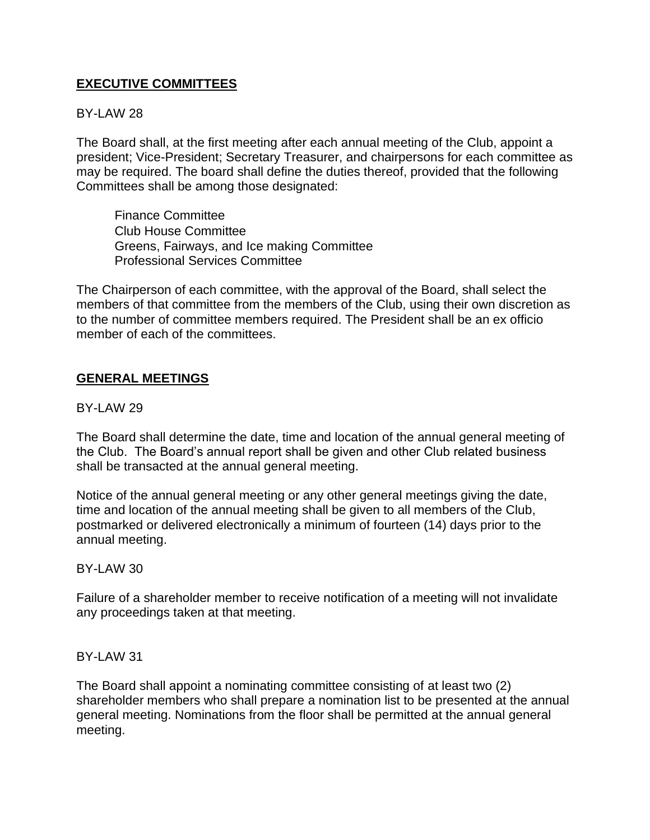# **EXECUTIVE COMMITTEES**

# BY-LAW 28

The Board shall, at the first meeting after each annual meeting of the Club, appoint a president; Vice-President; Secretary Treasurer, and chairpersons for each committee as may be required. The board shall define the duties thereof, provided that the following Committees shall be among those designated:

Finance Committee Club House Committee Greens, Fairways, and Ice making Committee Professional Services Committee

The Chairperson of each committee, with the approval of the Board, shall select the members of that committee from the members of the Club, using their own discretion as to the number of committee members required. The President shall be an ex officio member of each of the committees.

#### **GENERAL MEETINGS**

#### BY-LAW 29

The Board shall determine the date, time and location of the annual general meeting of the Club. The Board's annual report shall be given and other Club related business shall be transacted at the annual general meeting.

Notice of the annual general meeting or any other general meetings giving the date, time and location of the annual meeting shall be given to all members of the Club, postmarked or delivered electronically a minimum of fourteen (14) days prior to the annual meeting.

#### $BY-I$  AW 30

Failure of a shareholder member to receive notification of a meeting will not invalidate any proceedings taken at that meeting.

#### BY-LAW 31

The Board shall appoint a nominating committee consisting of at least two (2) shareholder members who shall prepare a nomination list to be presented at the annual general meeting. Nominations from the floor shall be permitted at the annual general meeting.